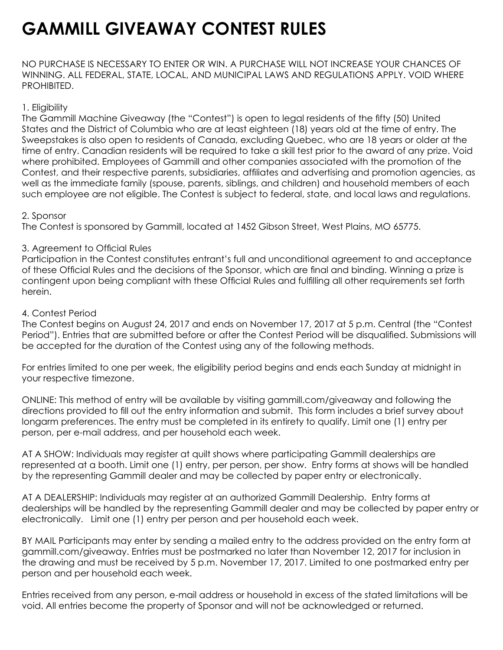# **GAMMILL GIVEAWAY CONTEST RULES**

NO PURCHASE IS NECESSARY TO ENTER OR WIN. A PURCHASE WILL NOT INCREASE YOUR CHANCES OF WINNING. ALL FEDERAL, STATE, LOCAL, AND MUNICIPAL LAWS AND REGULATIONS APPLY. VOID WHERE PROHIBITED.

## 1. Eligibility

The Gammill Machine Giveaway (the "Contest") is open to legal residents of the fifty (50) United States and the District of Columbia who are at least eighteen (18) years old at the time of entry. The Sweepstakes is also open to residents of Canada, excluding Quebec, who are 18 years or older at the time of entry. Canadian residents will be required to take a skill test prior to the award of any prize. Void where prohibited. Employees of Gammill and other companies associated with the promotion of the Contest, and their respective parents, subsidiaries, affiliates and advertising and promotion agencies, as well as the immediate family (spouse, parents, siblings, and children) and household members of each such employee are not eligible. The Contest is subject to federal, state, and local laws and regulations.

## 2. Sponsor

The Contest is sponsored by Gammill, located at 1452 Gibson Street, West Plains, MO 65775.

# 3. Agreement to Official Rules

Participation in the Contest constitutes entrant's full and unconditional agreement to and acceptance of these Official Rules and the decisions of the Sponsor, which are final and binding. Winning a prize is contingent upon being compliant with these Official Rules and fulfilling all other requirements set forth herein.

## 4. Contest Period

The Contest begins on August 24, 2017 and ends on November 17, 2017 at 5 p.m. Central (the "Contest Period"). Entries that are submitted before or after the Contest Period will be disqualified. Submissions will be accepted for the duration of the Contest using any of the following methods.

For entries limited to one per week, the eligibility period begins and ends each Sunday at midnight in your respective timezone.

ONLINE: This method of entry will be available by visiting gammill.com/giveaway and following the directions provided to fill out the entry information and submit. This form includes a brief survey about longarm preferences. The entry must be completed in its entirety to qualify. Limit one (1) entry per person, per e-mail address, and per household each week.

AT A SHOW: Individuals may register at quilt shows where participating Gammill dealerships are represented at a booth. Limit one (1) entry, per person, per show. Entry forms at shows will be handled by the representing Gammill dealer and may be collected by paper entry or electronically.

AT A DEALERSHIP: Individuals may register at an authorized Gammill Dealership. Entry forms at dealerships will be handled by the representing Gammill dealer and may be collected by paper entry or electronically. Limit one (1) entry per person and per household each week.

BY MAIL Participants may enter by sending a mailed entry to the address provided on the entry form at gammill.com/giveaway. Entries must be postmarked no later than November 12, 2017 for inclusion in the drawing and must be received by 5 p.m. November 17, 2017. Limited to one postmarked entry per person and per household each week.

Entries received from any person, e-mail address or household in excess of the stated limitations will be void. All entries become the property of Sponsor and will not be acknowledged or returned.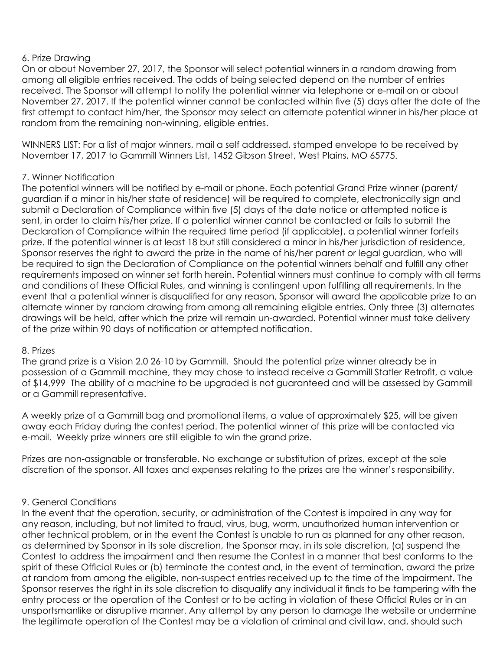## 6. Prize Drawing

On or about November 27, 2017, the Sponsor will select potential winners in a random drawing from among all eligible entries received. The odds of being selected depend on the number of entries received. The Sponsor will attempt to notify the potential winner via telephone or e-mail on or about November 27, 2017. If the potential winner cannot be contacted within five (5) days after the date of the first attempt to contact him/her, the Sponsor may select an alternate potential winner in his/her place at random from the remaining non-winning, eligible entries.

WINNERS LIST: For a list of major winners, mail a self addressed, stamped envelope to be received by November 17, 2017 to Gammill Winners List, 1452 Gibson Street, West Plains, MO 65775.

## 7. Winner Notification

The potential winners will be notified by e-mail or phone. Each potential Grand Prize winner (parent/ guardian if a minor in his/her state of residence) will be required to complete, electronically sign and submit a Declaration of Compliance within five (5) days of the date notice or attempted notice is sent, in order to claim his/her prize. If a potential winner cannot be contacted or fails to submit the Declaration of Compliance within the required time period (if applicable), a potential winner forfeits prize. If the potential winner is at least 18 but still considered a minor in his/her jurisdiction of residence, Sponsor reserves the right to award the prize in the name of his/her parent or legal guardian, who will be required to sign the Declaration of Compliance on the potential winners behalf and fulfill any other requirements imposed on winner set forth herein. Potential winners must continue to comply with all terms and conditions of these Official Rules, and winning is contingent upon fulfilling all requirements. In the event that a potential winner is disqualified for any reason, Sponsor will award the applicable prize to an alternate winner by random drawing from among all remaining eligible entries. Only three (3) alternates drawings will be held, after which the prize will remain un-awarded. Potential winner must take delivery of the prize within 90 days of notification or attempted notification.

### 8. Prizes

The grand prize is a Vision 2.0 26-10 by Gammill. Should the potential prize winner already be in possession of a Gammill machine, they may chose to instead receive a Gammill Statler Retrofit, a value of \$14,999 The ability of a machine to be upgraded is not guaranteed and will be assessed by Gammill or a Gammill representative.

A weekly prize of a Gammill bag and promotional items, a value of approximately \$25, will be given away each Friday during the contest period. The potential winner of this prize will be contacted via e-mail. Weekly prize winners are still eligible to win the grand prize.

Prizes are non-assignable or transferable. No exchange or substitution of prizes, except at the sole discretion of the sponsor. All taxes and expenses relating to the prizes are the winner's responsibility.

## 9. General Conditions

In the event that the operation, security, or administration of the Contest is impaired in any way for any reason, including, but not limited to fraud, virus, bug, worm, unauthorized human intervention or other technical problem, or in the event the Contest is unable to run as planned for any other reason, as determined by Sponsor in its sole discretion, the Sponsor may, in its sole discretion, (a) suspend the Contest to address the impairment and then resume the Contest in a manner that best conforms to the spirit of these Official Rules or (b) terminate the contest and, in the event of termination, award the prize at random from among the eligible, non-suspect entries received up to the time of the impairment. The Sponsor reserves the right in its sole discretion to disqualify any individual it finds to be tampering with the entry process or the operation of the Contest or to be acting in violation of these Official Rules or in an unsportsmanlike or disruptive manner. Any attempt by any person to damage the website or undermine the legitimate operation of the Contest may be a violation of criminal and civil law, and, should such